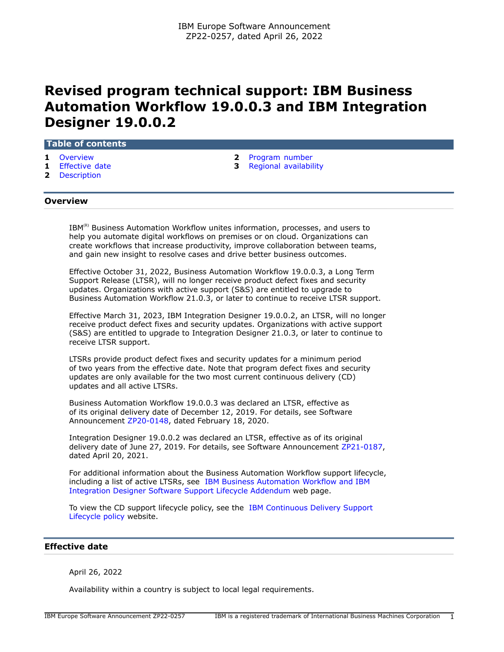# **Revised program technical support: IBM Business Automation Workflow 19.0.0.3 and IBM Integration Designer 19.0.0.2**

## **Table of contents**

- 
- 
- **2** [Description](#page-1-1)
- **1** [Overview](#page-0-0) **2** [Program number](#page-1-0)
- **1** [Effective date](#page-0-1) **3** [Regional availability](#page-2-0)

# <span id="page-0-0"></span>**Overview**

IBM<sup>(R)</sup> Business Automation Workflow unites information, processes, and users to help you automate digital workflows on premises or on cloud. Organizations can create workflows that increase productivity, improve collaboration between teams, and gain new insight to resolve cases and drive better business outcomes.

Effective October 31, 2022, Business Automation Workflow 19.0.0.3, a Long Term Support Release (LTSR), will no longer receive product defect fixes and security updates. Organizations with active support (S&S) are entitled to upgrade to Business Automation Workflow 21.0.3, or later to continue to receive LTSR support.

Effective March 31, 2023, IBM Integration Designer 19.0.0.2, an LTSR, will no longer receive product defect fixes and security updates. Organizations with active support (S&S) are entitled to upgrade to Integration Designer 21.0.3, or later to continue to receive LTSR support.

LTSRs provide product defect fixes and security updates for a minimum period of two years from the effective date. Note that program defect fixes and security updates are only available for the two most current continuous delivery (CD) updates and all active LTSRs.

Business Automation Workflow 19.0.0.3 was declared an LTSR, effective as of its original delivery date of December 12, 2019. For details, see Software Announcement [ZP20-0148,](http://www.ibm.com/common/ssi/cgi-bin/ssialias?infotype=an&subtype=ca&appname=gpateam&supplier=877&letternum=ENUSZP20-0148) dated February 18, 2020.

Integration Designer 19.0.0.2 was declared an LTSR, effective as of its original delivery date of June 27, 2019. For details, see Software Announcement [ZP21-0187,](http://www.ibm.com/common/ssi/cgi-bin/ssialias?infotype=an&subtype=ca&appname=gpateam&supplier=877&letternum=ENUSZP21-0187) dated April 20, 2021.

For additional information about the Business Automation Workflow support lifecycle, including a list of active LTSRs, see [IBM Business Automation Workflow and IBM](https://www.ibm.com/support/pages/node/871252) [Integration Designer Software Support Lifecycle Addendum](https://www.ibm.com/support/pages/node/871252) web page.

To view the CD support lifecycle policy, see the [IBM Continuous Delivery Support](https://www.ibm.com/support/pages/ibm-continuous-delivery-support-lifecycle-policy) [Lifecycle policy](https://www.ibm.com/support/pages/ibm-continuous-delivery-support-lifecycle-policy) website.

## <span id="page-0-1"></span>**Effective date**

April 26, 2022

Availability within a country is subject to local legal requirements.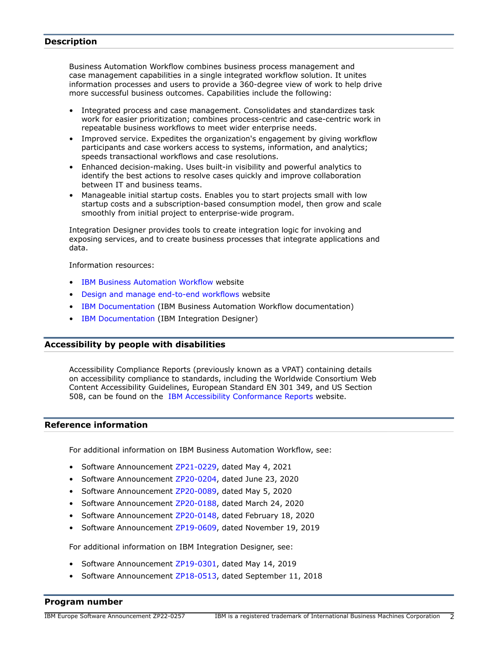# <span id="page-1-1"></span>**Description**

Business Automation Workflow combines business process management and case management capabilities in a single integrated workflow solution. It unites information processes and users to provide a 360-degree view of work to help drive more successful business outcomes. Capabilities include the following:

- Integrated process and case management. Consolidates and standardizes task work for easier prioritization; combines process-centric and case-centric work in repeatable business workflows to meet wider enterprise needs.
- Improved service. Expedites the organization's engagement by giving workflow participants and case workers access to systems, information, and analytics; speeds transactional workflows and case resolutions.
- Enhanced decision-making. Uses built-in visibility and powerful analytics to identify the best actions to resolve cases quickly and improve collaboration between IT and business teams.
- Manageable initial startup costs. Enables you to start projects small with low startup costs and a subscription-based consumption model, then grow and scale smoothly from initial project to enterprise-wide program.

Integration Designer provides tools to create integration logic for invoking and exposing services, and to create business processes that integrate applications and data.

Information resources:

- [IBM Business Automation Workflow](https://www.ibm.com/products/business-automation-workflow) website
- [Design and manage end-to-end workflows](https://www.ibm.com/cloud/workflow) website
- [IBM Documentation](https://www.ibm.com/docs/en/baw) (IBM Business Automation Workflow documentation)
- [IBM Documentation](https://www.ibm.com/docs/en/baw/20.x?topic=integration-designer-v2103) (IBM Integration Designer)

# **Accessibility by people with disabilities**

Accessibility Compliance Reports (previously known as a VPAT) containing details on accessibility compliance to standards, including the Worldwide Consortium Web Content Accessibility Guidelines, European Standard EN 301 349, and US Section 508, can be found on the [IBM Accessibility Conformance Reports](https://able.ibm.com/request/) website.

## **Reference information**

For additional information on IBM Business Automation Workflow, see:

- Software Announcement [ZP21-0229](http://www.ibm.com/common/ssi/cgi-bin/ssialias?infotype=an&subtype=ca&appname=gpateam&supplier=877&letternum=ENUSZP21-0229), dated May 4, 2021
- Software Announcement [ZP20-0204](http://www.ibm.com/common/ssi/cgi-bin/ssialias?infotype=an&subtype=ca&appname=gpateam&supplier=877&letternum=ENUSZP20-0204), dated June 23, 2020
- Software Announcement [ZP20-0089](http://www.ibm.com/common/ssi/cgi-bin/ssialias?infotype=an&subtype=ca&appname=gpateam&supplier=877&letternum=ENUSZP20-0089), dated May 5, 2020
- Software Announcement [ZP20-0188](http://www.ibm.com/common/ssi/cgi-bin/ssialias?infotype=an&subtype=ca&appname=gpateam&supplier=877&letternum=ENUSZP20-0188), dated March 24, 2020
- Software Announcement [ZP20-0148](http://www.ibm.com/common/ssi/cgi-bin/ssialias?infotype=an&subtype=ca&appname=gpateam&supplier=877&letternum=ENUSZP20-0148), dated February 18, 2020
- Software Announcement [ZP19-0609](http://www.ibm.com/common/ssi/cgi-bin/ssialias?infotype=an&subtype=ca&appname=gpateam&supplier=877&letternum=ENUSZP19-0609), dated November 19, 2019

For additional information on IBM Integration Designer, see:

- Software Announcement [ZP19-0301](http://www.ibm.com/common/ssi/cgi-bin/ssialias?infotype=an&subtype=ca&appname=gpateam&supplier=877&letternum=ENUSZP19-0301), dated May 14, 2019
- Software Announcement [ZP18-0513](http://www.ibm.com/common/ssi/cgi-bin/ssialias?infotype=an&subtype=ca&appname=gpateam&supplier=877&letternum=ENUSZP18-0513), dated September 11, 2018

## <span id="page-1-0"></span>**Program number**